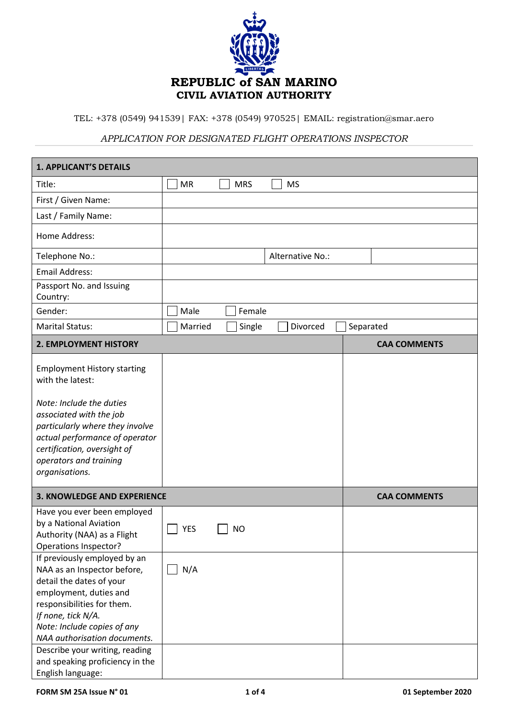

TEL: +378 (0549) 941539| FAX: +378 (0549) 970525| EMAIL: registration@smar.aero

## *APPLICATION FOR DESIGNATED FLIGHT OPERATIONS INSPECTOR*

| <b>1. APPLICANT'S DETAILS</b>                                                                                                                                                                                                                                          |            |            |                  |           |                     |  |  |
|------------------------------------------------------------------------------------------------------------------------------------------------------------------------------------------------------------------------------------------------------------------------|------------|------------|------------------|-----------|---------------------|--|--|
| Title:                                                                                                                                                                                                                                                                 | <b>MR</b>  | <b>MRS</b> | <b>MS</b>        |           |                     |  |  |
| First / Given Name:                                                                                                                                                                                                                                                    |            |            |                  |           |                     |  |  |
| Last / Family Name:                                                                                                                                                                                                                                                    |            |            |                  |           |                     |  |  |
| Home Address:                                                                                                                                                                                                                                                          |            |            |                  |           |                     |  |  |
| Telephone No.:                                                                                                                                                                                                                                                         |            |            | Alternative No.: |           |                     |  |  |
| <b>Email Address:</b>                                                                                                                                                                                                                                                  |            |            |                  |           |                     |  |  |
| Passport No. and Issuing<br>Country:                                                                                                                                                                                                                                   |            |            |                  |           |                     |  |  |
| Gender:                                                                                                                                                                                                                                                                | Male       | Female     |                  |           |                     |  |  |
| <b>Marital Status:</b>                                                                                                                                                                                                                                                 | Married    | Single     | Divorced         | Separated |                     |  |  |
| 2. EMPLOYMENT HISTORY                                                                                                                                                                                                                                                  |            |            |                  |           | <b>CAA COMMENTS</b> |  |  |
| <b>Employment History starting</b><br>with the latest:<br>Note: Include the duties<br>associated with the job<br>particularly where they involve<br>actual performance of operator<br>certification, oversight of<br>operators and training<br>organisations.          |            |            |                  |           |                     |  |  |
| <b>3. KNOWLEDGE AND EXPERIENCE</b><br><b>CAA COMMENTS</b>                                                                                                                                                                                                              |            |            |                  |           |                     |  |  |
| Have you ever been employed<br>by a National Aviation<br>Authority (NAA) as a Flight<br>Operations Inspector?                                                                                                                                                          | <b>YES</b> | <b>NO</b>  |                  |           |                     |  |  |
| If previously employed by an<br>NAA as an Inspector before,<br>detail the dates of your<br>employment, duties and<br>responsibilities for them.<br>If none, tick N/A.<br>Note: Include copies of any<br>NAA authorisation documents.<br>Describe your writing, reading | N/A        |            |                  |           |                     |  |  |
| and speaking proficiency in the<br>English language:                                                                                                                                                                                                                   |            |            |                  |           |                     |  |  |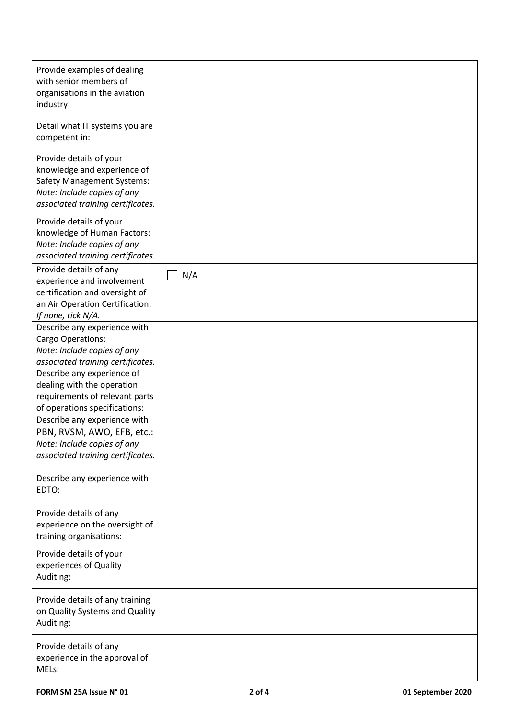| Provide examples of dealing<br>with senior members of<br>organisations in the aviation<br>industry:                                                             |     |  |
|-----------------------------------------------------------------------------------------------------------------------------------------------------------------|-----|--|
| Detail what IT systems you are<br>competent in:                                                                                                                 |     |  |
| Provide details of your<br>knowledge and experience of<br><b>Safety Management Systems:</b><br>Note: Include copies of any<br>associated training certificates. |     |  |
| Provide details of your<br>knowledge of Human Factors:<br>Note: Include copies of any<br>associated training certificates.                                      |     |  |
| Provide details of any<br>experience and involvement<br>certification and oversight of<br>an Air Operation Certification:<br>If none, tick N/A.                 | N/A |  |
| Describe any experience with<br>Cargo Operations:<br>Note: Include copies of any<br>associated training certificates.                                           |     |  |
| Describe any experience of<br>dealing with the operation<br>requirements of relevant parts<br>of operations specifications:                                     |     |  |
| Describe any experience with<br>PBN, RVSM, AWO, EFB, etc.:<br>Note: Include copies of any<br>associated training certificates.                                  |     |  |
| Describe any experience with<br>EDTO:                                                                                                                           |     |  |
| Provide details of any<br>experience on the oversight of<br>training organisations:                                                                             |     |  |
| Provide details of your<br>experiences of Quality<br>Auditing:                                                                                                  |     |  |
| Provide details of any training<br>on Quality Systems and Quality<br>Auditing:                                                                                  |     |  |
| Provide details of any<br>experience in the approval of<br>MELs:                                                                                                |     |  |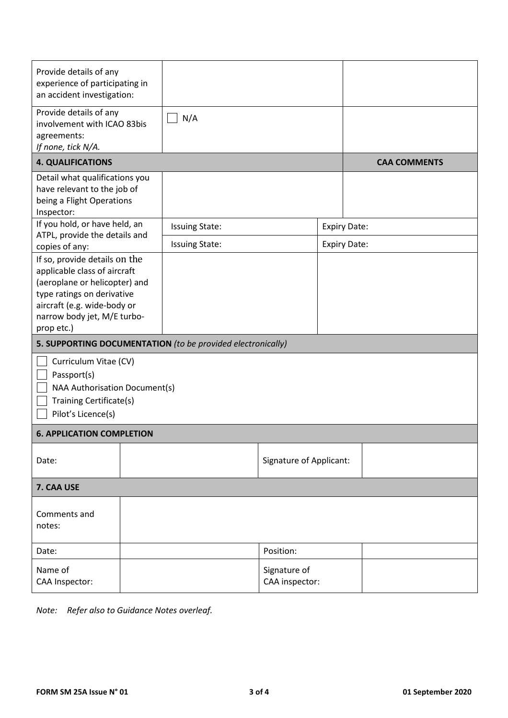| Provide details of any<br>experience of participating in<br>an accident investigation:                                                                                                                   |  |                       |                                |                     |                     |  |  |
|----------------------------------------------------------------------------------------------------------------------------------------------------------------------------------------------------------|--|-----------------------|--------------------------------|---------------------|---------------------|--|--|
| Provide details of any<br>involvement with ICAO 83bis<br>agreements:<br>If none, tick N/A.                                                                                                               |  | N/A                   |                                |                     |                     |  |  |
| <b>4. QUALIFICATIONS</b>                                                                                                                                                                                 |  |                       |                                |                     | <b>CAA COMMENTS</b> |  |  |
| Detail what qualifications you<br>have relevant to the job of<br>being a Flight Operations<br>Inspector:                                                                                                 |  |                       |                                |                     |                     |  |  |
| If you hold, or have held, an<br>ATPL, provide the details and                                                                                                                                           |  | <b>Issuing State:</b> |                                |                     | <b>Expiry Date:</b> |  |  |
| copies of any:                                                                                                                                                                                           |  | <b>Issuing State:</b> |                                | <b>Expiry Date:</b> |                     |  |  |
| If so, provide details on the<br>applicable class of aircraft<br>(aeroplane or helicopter) and<br>type ratings on derivative<br>aircraft (e.g. wide-body or<br>narrow body jet, M/E turbo-<br>prop etc.) |  |                       |                                |                     |                     |  |  |
| 5. SUPPORTING DOCUMENTATION (to be provided electronically)                                                                                                                                              |  |                       |                                |                     |                     |  |  |
| Curriculum Vitae (CV)<br>Passport(s)<br>NAA Authorisation Document(s)<br>Training Certificate(s)<br>Pilot's Licence(s)                                                                                   |  |                       |                                |                     |                     |  |  |
| <b>6. APPLICATION COMPLETION</b>                                                                                                                                                                         |  |                       |                                |                     |                     |  |  |
| Date:                                                                                                                                                                                                    |  |                       | <b>Signature of Applicant:</b> |                     |                     |  |  |
| 7. CAA USE                                                                                                                                                                                               |  |                       |                                |                     |                     |  |  |
| Comments and<br>notes:                                                                                                                                                                                   |  |                       |                                |                     |                     |  |  |
| Date:                                                                                                                                                                                                    |  |                       | Position:                      |                     |                     |  |  |
| Name of<br>CAA Inspector:                                                                                                                                                                                |  |                       | Signature of<br>CAA inspector: |                     |                     |  |  |

*Note: Refer also to Guidance Notes overleaf.*